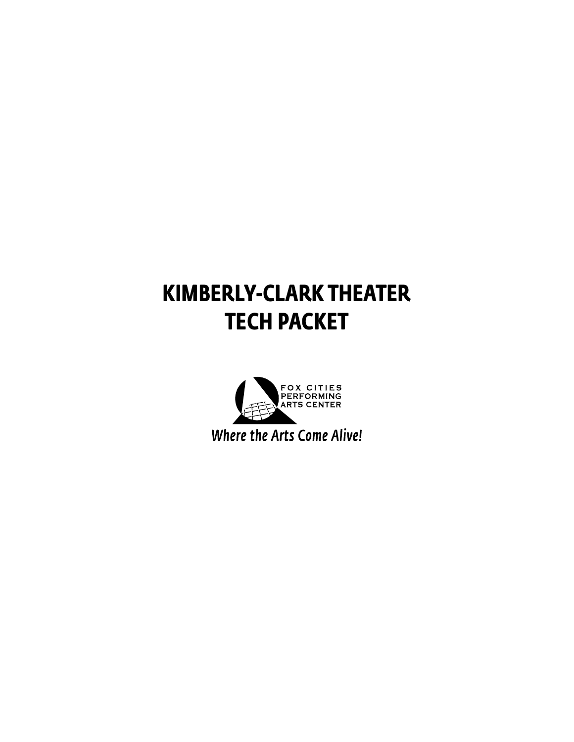## **KIMBERLY-CLARK THEATER TECH PACKET**

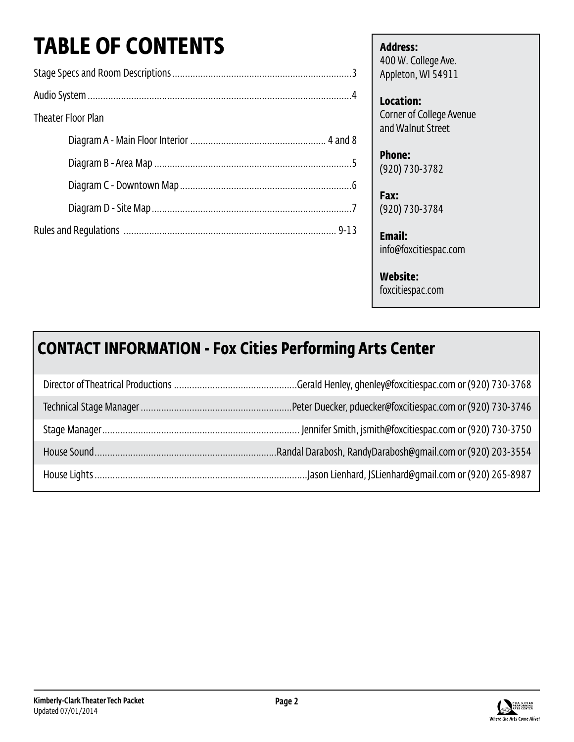# **TABLE OF CONTENTS**

| <b>Theater Floor Plan</b> |
|---------------------------|
|                           |
|                           |
|                           |
|                           |
|                           |

**Address:** 400 W. College Ave. Appleton, WI 54911

**Location:** Corner of College Avenue and Walnut Street

**Phone:** (920) 730-3782

**Fax:** (920) 730-3784

**Email:** info@foxcitiespac.com

### **Website:**

foxcitiespac.com

## **CONTACT INFORMATION - Fox Cities Performing Arts Center**

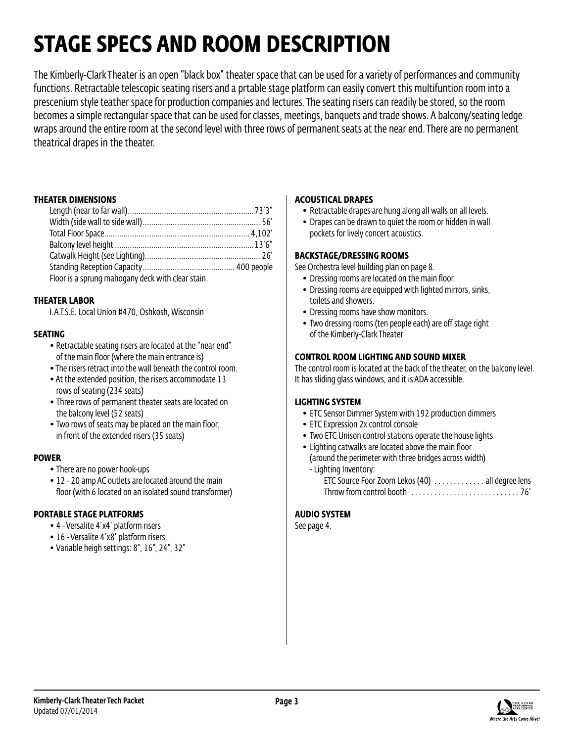## **STAGE SPECS AND ROOM DESCRIPTION**

The Kimberly-Clark Theater is an open "black box" theater space that can be used for a variety of performances and community functions. Retractable telescopic seating risers and a prtable stage platform can easily convert this multifuntion room into a prescenium style teather space for production companies and lectures. The seating risers can readily be stored, so the room becomes a simple rectangular space that can be used for classes, meetings, banquets and trade shows. A balcony/seating ledge wraps around the entire room at the second level with three rows of permanent seats at the near end. There are no permanent theatrical drapes in the theater.

#### **THEATER DIMENSIONS**

| Floor is a sprung mahogany deck with clear stain. |  |
|---------------------------------------------------|--|

### **THEATER LABOR**

I.A.T.S.E. Local Union #470, Oshkosh, Wisconsin

### **SEATING**

- Retractable seating risers are located at the "near end" of the main floor (where the main entrance is)
- The risers retract into the wall beneath the control room.
- At the extended position, the risers accommodate 13 rows of seating (234 seats)
- Three rows of permanent theater seats are located on the balcony level (52 seats)
- Two rows of seats may be placed on the main floor, in front of the extended risers (35 seats)

### **POWER**

- There are no power hook-ups
- 12 20 amp AC outlets are located around the main floor (with 6 located on an isolated sound transformer)

### **PORTABLE STAGE PLATFORMS**

- 4 Versalite 4'x4' platform risers
- 16 Versalite 4'x8' platform risers
- • Variable heigh settings: 8", 16", 24", 32"

### **ACOUSTICAL DRAPES**

- Retractable drapes are hung along all walls on all levels.
- Drapes can be drawn to quiet the room or hidden in wall pockets for lively concert acoustics.

#### **BACKSTAGE/DRESSING ROOMS**

See Orchestra level building plan on page 8.

- Dressing rooms are located on the main floor.
- Dressing rooms are equipped with lighted mirrors, sinks, toilets and showers.
- Dressing rooms have show monitors.
- Two dressing rooms (ten people each) are off stage right of the Kimberly-Clark Theater

#### **CONTROL ROOM LIGHTING AND SOUND MIXER**

The control room is located at the back of the theater, on the balcony level. It has sliding glass windows, and it is ADA accessible.

### **LIGHTING SYSTEM**

- ETC Sensor Dimmer System with 192 production dimmers
- ETC Expression 2x control console
- Two ETC Unison control stations operate the house lights
- Lighting catwalks are located above the main floor (around the perimeter with three bridges across width) - Lighting Inventory: ETC Source Foor Zoom Lekos (40) . . . . . . . . . . . . all degree lens
	- Throw from control booth . . 76'

### **AUDIO SYSTEM**

See page 4.

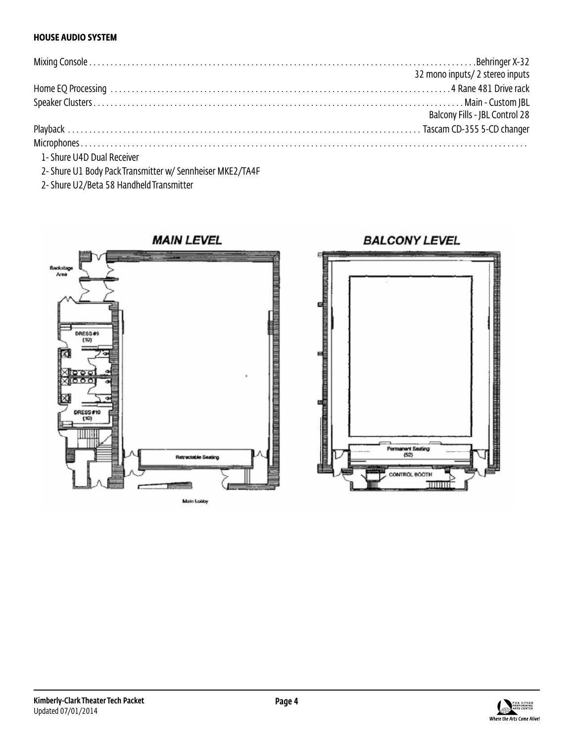### **HOUSE AUDIO SYSTEM**

|                            | 32 mono inputs/ 2 stereo inputs |
|----------------------------|---------------------------------|
|                            |                                 |
|                            |                                 |
|                            | Balcony Fills - JBL Control 28  |
|                            |                                 |
|                            |                                 |
| 1- Shure U4D Dual Receiver |                                 |

2- Shure U1 Body Pack Transmitter w/ Sennheiser MKE2/TA4F

2- Shure U2/Beta 58 Handheld Transmitter



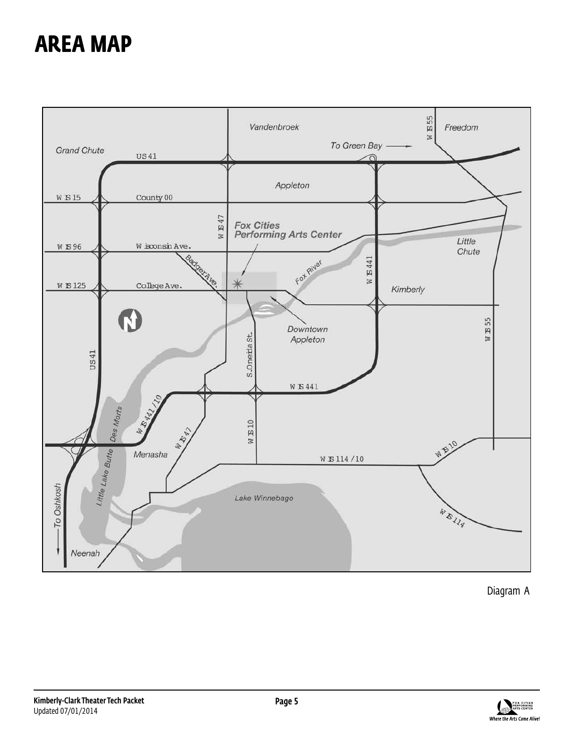## **AREA MAP**



Diagram A

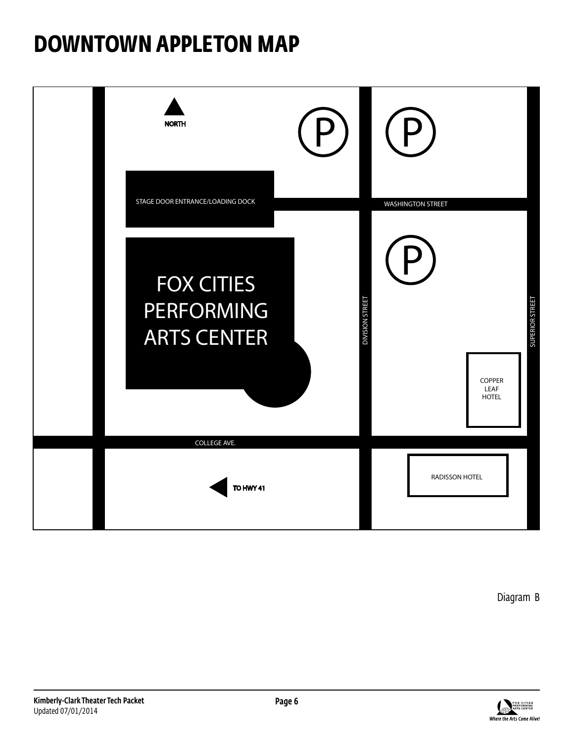## **DOWNTOWN APPLETON MAP**



Diagram B

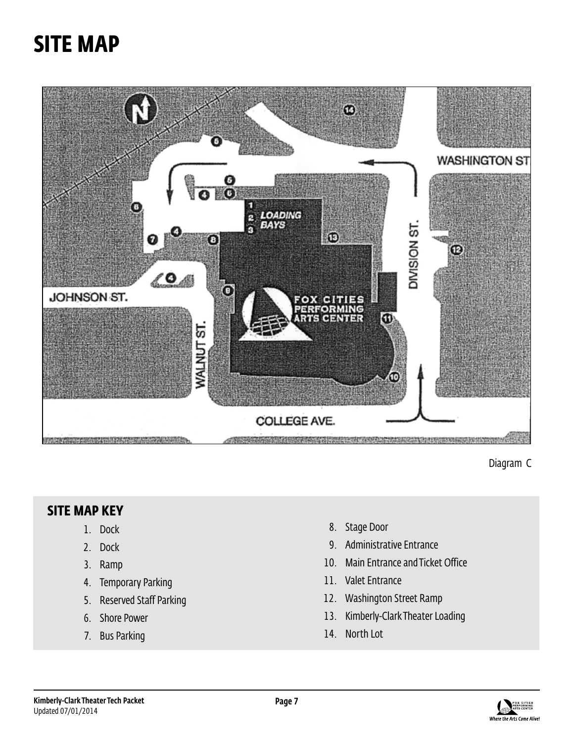## **SITE MAP**



Diagram C

### **SITE MAP KEY**

- 1. Dock
- 2. Dock
- 3. Ramp
- 4. Temporary Parking
- 5. Reserved Staff Parking
- 6. Shore Power
- 7. Bus Parking
- 8. Stage Door
- 9. Administrative Entrance
- 10. Main Entrance and Ticket Office
- 11. Valet Entrance
- 12. Washington Street Ramp
- 13. Kimberly-Clark Theater Loading
- 14. North Lot

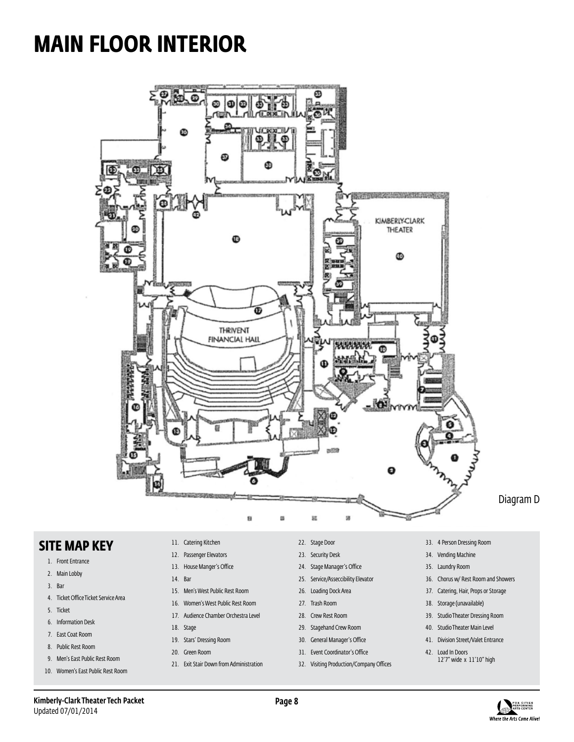## **MAIN FLOOR INTERIOR**



### **SITE MAP KEY**

- 1. Front Entrance
- 2. Main Lobby
- 3. Bar
- 4. Ticket Office Ticket Service Area
- 5. Ticket
- 6. Information Desk
- 7. East Coat Room
- 8. Public Rest Room
- 9. Men's East Public Rest Room
- 10. Women's East Public Rest Room
- 11. Catering Kitchen
- 12. Passenger Elevators
- 13. House Manger's Office
- 14. Bar
- 15. Men's West Public Rest Room
- 16. Women's West Public Rest Room
- 17. Audience Chamber Orchestra Level
- 18. Stage
- 19. Stars' Dressing Room
- 20. Green Room
- 21. Exit Stair Down from Administration
- 22. Stage Door
- 23. Security Desk
- 24. Stage Manager's Office
- 25. Service/Asseccibility Elevator
- 26. Loading Dock Area
- 27. Trash Room
- 28. Crew Rest Room
- 29. Stagehand Crew Room
- 30. General Manager's Office
- 31. Event Coordinator's Office
- 32. Visiting Production/Company Offices
- 33. 4 Person Dressing Room
- 34. Vending Machine
- 35. Laundry Room
- 36. Chorus w/ Rest Room and Showers
- 37. Catering, Hair, Props or Storage
- 38. Storage (unavailable)
- 39. Studio Theater Dressing Room
- 40. Studio Theater Main Level
- 41. Division Street/Valet Entrance
- 42. Load In Doors 12'7" wide x 11'10" high

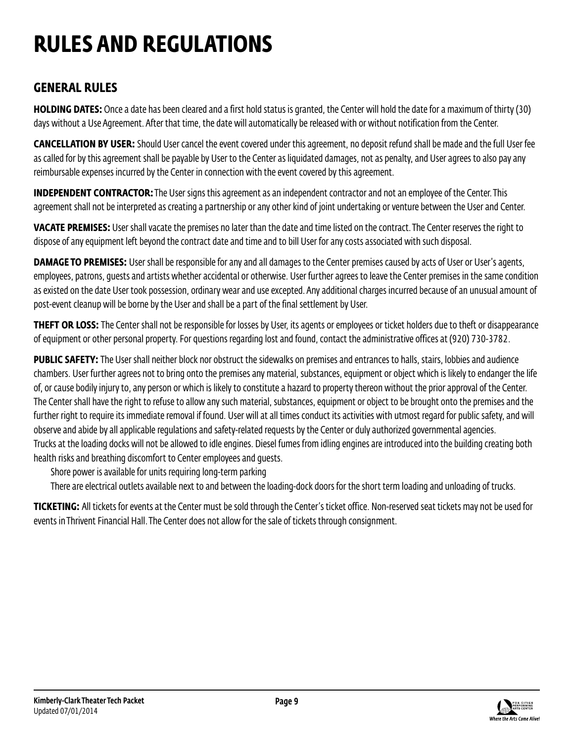## **RULES AND REGULATIONS**

## **GENERAL RULES**

**HOLDING DATES:** Once a date has been cleared and a first hold status is granted, the Center will hold the date for a maximum of thirty (30) days without a Use Agreement. After that time, the date will automatically be released with or without notification from the Center.

**CANCELLATION BY USER:** Should User cancel the event covered under this agreement, no deposit refund shall be made and the full User fee as called for by this agreement shall be payable by User to the Center as liquidated damages, not as penalty, and User agrees to also pay any reimbursable expenses incurred by the Center in connection with the event covered by this agreement.

**INDEPENDENT CONTRACTOR:** The User signs this agreement as an independent contractor and not an employee of the Center. This agreement shall not be interpreted as creating a partnership or any other kind of joint undertaking or venture between the User and Center.

**VACATE PREMISES:** User shall vacate the premises no later than the date and time listed on the contract. The Center reserves the right to dispose of any equipment left beyond the contract date and time and to bill User for any costs associated with such disposal.

**DAMAGE TO PREMISES:** User shall be responsible for any and all damages to the Center premises caused by acts of User or User's agents, employees, patrons, guests and artists whether accidental or otherwise. User further agrees to leave the Center premises in the same condition as existed on the date User took possession, ordinary wear and use excepted. Any additional charges incurred because of an unusual amount of post-event cleanup will be borne by the User and shall be a part of the final settlement by User.

**THEFT OR LOSS:** The Center shall not be responsible for losses by User, its agents or employees or ticket holders due to theft or disappearance of equipment or other personal property. For questions regarding lost and found, contact the administrative offices at (920) 730-3782.

**PUBLIC SAFETY:** The User shall neither block nor obstruct the sidewalks on premises and entrances to halls, stairs, lobbies and audience chambers. User further agrees not to bring onto the premises any material, substances, equipment or object which is likely to endanger the life of, or cause bodily injury to, any person or which is likely to constitute a hazard to property thereon without the prior approval of the Center. The Center shall have the right to refuse to allow any such material, substances, equipment or object to be brought onto the premises and the further right to require its immediate removal if found. User will at all times conduct its activities with utmost regard for public safety, and will observe and abide by all applicable regulations and safety-related requests by the Center or duly authorized governmental agencies. Trucks at the loading docks will not be allowed to idle engines. Diesel fumes from idling engines are introduced into the building creating both health risks and breathing discomfort to Center employees and guests.

Shore power is available for units requiring long-term parking

There are electrical outlets available next to and between the loading-dock doors for the short term loading and unloading of trucks.

**TICKETING:** All tickets for events at the Center must be sold through the Center's ticket office. Non-reserved seat tickets may not be used for events in Thrivent Financial Hall. The Center does not allow for the sale of tickets through consignment.



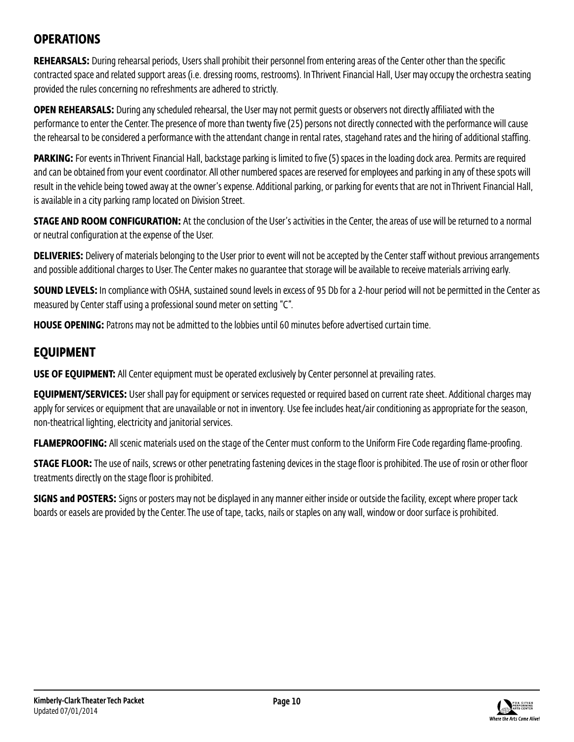### **OPERATIONS**

**REHEARSALS:** During rehearsal periods, Users shall prohibit their personnel from entering areas of the Center other than the specific contracted space and related support areas (i.e. dressing rooms, restrooms). In Thrivent Financial Hall, User may occupy the orchestra seating provided the rules concerning no refreshments are adhered to strictly.

**OPEN REHEARSALS:** During any scheduled rehearsal, the User may not permit guests or observers not directly affiliated with the performance to enter the Center. The presence of more than twenty five (25) persons not directly connected with the performance will cause the rehearsal to be considered a performance with the attendant change in rental rates, stagehand rates and the hiring of additional staffing.

**PARKING:** For events in Thrivent Financial Hall, backstage parking is limited to five (5) spaces in the loading dock area. Permits are required and can be obtained from your event coordinator. All other numbered spaces are reserved for employees and parking in any of these spots will result in the vehicle being towed away at the owner's expense. Additional parking, or parking for events that are not in Thrivent Financial Hall, is available in a city parking ramp located on Division Street.

**STAGE AND ROOM CONFIGURATION:** At the conclusion of the User's activities in the Center, the areas of use will be returned to a normal or neutral configuration at the expense of the User.

**DELIVERIES:** Delivery of materials belonging to the User prior to event will not be accepted by the Center staff without previous arrangements and possible additional charges to User. The Center makes no guarantee that storage will be available to receive materials arriving early.

**SOUND LEVELS:** In compliance with OSHA, sustained sound levels in excess of 95 Db for a 2-hour period will not be permitted in the Center as measured by Center staff using a professional sound meter on setting "C".

**HOUSE OPENING:** Patrons may not be admitted to the lobbies until 60 minutes before advertised curtain time.

### **EQUIPMENT**

**USE OF EQUIPMENT:** All Center equipment must be operated exclusively by Center personnel at prevailing rates.

**EQUIPMENT/SERVICES:** User shall pay for equipment or services requested or required based on current rate sheet. Additional charges may apply for services or equipment that are unavailable or not in inventory. Use fee includes heat/air conditioning as appropriate for the season, non-theatrical lighting, electricity and janitorial services.

**FLAMEPROOFING:** All scenic materials used on the stage of the Center must conform to the Uniform Fire Code regarding flame-proofing.

**STAGE FLOOR:** The use of nails, screws or other penetrating fastening devices in the stage floor is prohibited. The use of rosin or other floor treatments directly on the stage floor is prohibited.

**SIGNS and POSTERS:** Signs or posters may not be displayed in any manner either inside or outside the facility, except where proper tack boards or easels are provided by the Center. The use of tape, tacks, nails or staples on any wall, window or door surface is prohibited.

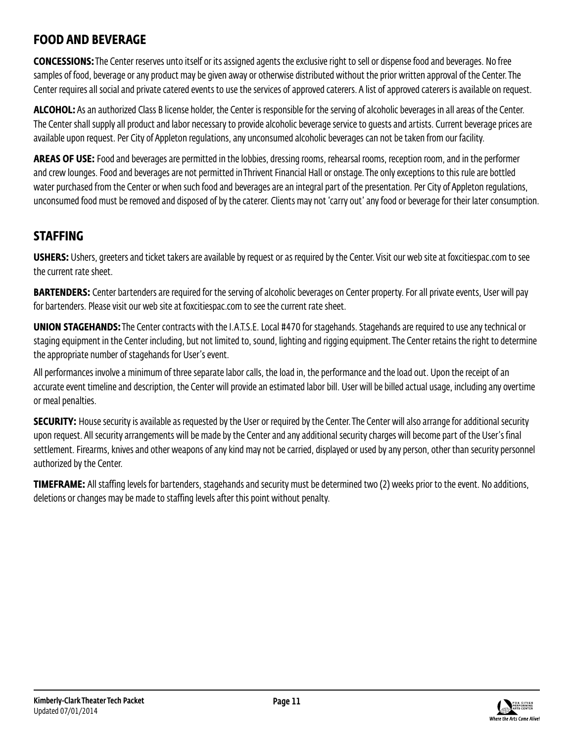### **FOOD AND BEVERAGE**

**CONCESSIONS:** The Center reserves unto itself or its assigned agents the exclusive right to sell or dispense food and beverages. No free samples of food, beverage or any product may be given away or otherwise distributed without the prior written approval of the Center. The Center requires all social and private catered events to use the services of approved caterers. A list of approved caterers is available on request.

**ALCOHOL:** As an authorized Class B license holder, the Center is responsible for the serving of alcoholic beverages in all areas of the Center. The Center shall supply all product and labor necessary to provide alcoholic beverage service to guests and artists. Current beverage prices are available upon request. Per City of Appleton regulations, any unconsumed alcoholic beverages can not be taken from our facility.

**AREAS OF USE:** Food and beverages are permitted in the lobbies, dressing rooms, rehearsal rooms, reception room, and in the performer and crew lounges. Food and beverages are not permitted in Thrivent Financial Hall or onstage. The only exceptions to this rule are bottled water purchased from the Center or when such food and beverages are an integral part of the presentation. Per City of Appleton regulations, unconsumed food must be removed and disposed of by the caterer. Clients may not 'carry out' any food or beverage for their later consumption.

## **STAFFING**

USHERS: Ushers, greeters and ticket takers are available by request or as required by the Center. Visit our web site at foxcitiespac.com to see the current rate sheet.

**BARTENDERS:** Center bartenders are required for the serving of alcoholic beverages on Center property. For all private events, User will pay for bartenders. Please visit our web site at foxcitiespac.com to see the current rate sheet.

**UNION STAGEHANDS:** The Center contracts with the I.A.T.S.E. Local #470 for stagehands. Stagehands are required to use any technical or staging equipment in the Center including, but not limited to, sound, lighting and rigging equipment. The Center retains the right to determine the appropriate number of stagehands for User's event.

All performances involve a minimum of three separate labor calls, the load in, the performance and the load out. Upon the receipt of an accurate event timeline and description, the Center will provide an estimated labor bill. User will be billed actual usage, including any overtime or meal penalties.

**SECURITY:** House security is available as requested by the User or required by the Center. The Center will also arrange for additional security upon request. All security arrangements will be made by the Center and any additional security charges will become part of the User's final settlement. Firearms, knives and other weapons of any kind may not be carried, displayed or used by any person, other than security personnel authorized by the Center.

**TIMEFRAME:** All staffing levels for bartenders, stagehands and security must be determined two (2) weeks prior to the event. No additions, deletions or changes may be made to staffing levels after this point without penalty.

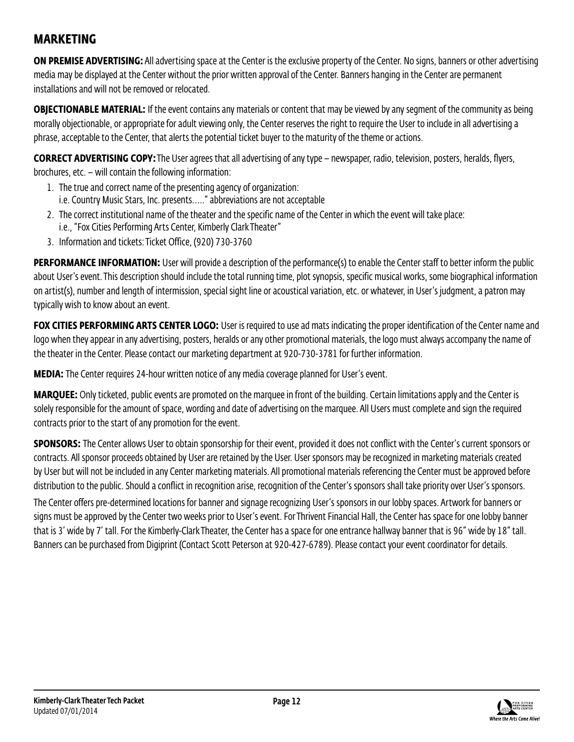### **MARKETING**

**ON PREMISE ADVERTISING:** All advertising space at the Center is the exclusive property of the Center. No signs, banners or other advertising media may be displayed at the Center without the prior written approval of the Center. Banners hanging in the Center are permanent installations and will not be removed or relocated.

**OBJECTIONABLE MATERIAL:** If the event contains any materials or content that may be viewed by any segment of the community as being morally objectionable, or appropriate for adult viewing only, the Center reserves the right to require the User to include in all advertising a phrase, acceptable to the Center, that alerts the potential ticket buyer to the maturity of the theme or actions.

**CORRECT ADVERTISING COPY:** The User agrees that all advertising of any type – newspaper, radio, television, posters, heralds, flyers, brochures, etc.  $-$  will contain the following information:

- 1. The true and correct name of the presenting agency of organization: i.e. Country Music Stars, Inc. presents….." abbreviations are not acceptable
- 2. The correct institutional name of the theater and the specific name of the Center in which the event will take place: i.e., "Fox Cities Performing Arts Center, Kimberly Clark Theater"
- 3. Information and tickets: Ticket Office, (920) 730-3760

**PERFORMANCE INFORMATION:** User will provide a description of the performance(s) to enable the Center staff to better inform the public about User's event. This description should include the total running time, plot synopsis, specific musical works, some biographical information on artist(s), number and length of intermission, special sight line or acoustical variation, etc. or whatever, in User's judgment, a patron may typically wish to know about an event.

**FOX CITIES PERFORMING ARTS CENTER LOGO:** User is required to use ad mats indicating the proper identification of the Center name and logo when they appear in any advertising, posters, heralds or any other promotional materials, the logo must always accompany the name of the theater in the Center. Please contact our marketing department at 920-730-3781 for further information.

**MEDIA:** The Center requires 24-hour written notice of any media coverage planned for User's event.

**MARQUEE:** Only ticketed, public events are promoted on the marquee in front of the building. Certain limitations apply and the Center is solely responsible for the amount of space, wording and date of advertising on the marquee. All Users must complete and sign the required contracts prior to the start of any promotion for the event.

**SPONSORS:** The Center allows User to obtain sponsorship for their event, provided it does not conflict with the Center's current sponsors or contracts. All sponsor proceeds obtained by User are retained by the User. User sponsors may be recognized in marketing materials created by User but will not be included in any Center marketing materials. All promotional materials referencing the Center must be approved before distribution to the public. Should a conflict in recognition arise, recognition of the Center's sponsors shall take priority over User's sponsors.

The Center offers pre-determined locations for banner and signage recognizing User's sponsors in our lobby spaces. Artwork for banners or signs must be approved by the Center two weeks prior to User's event. For Thrivent Financial Hall, the Center has space for one lobby banner that is 3' wide by 7' tall. For the Kimberly-Clark Theater, the Center has a space for one entrance hallway banner that is 96" wide by 18" tall. Banners can be purchased from Digiprint (Contact Scott Peterson at 920-427-6789). Please contact your event coordinator for details.